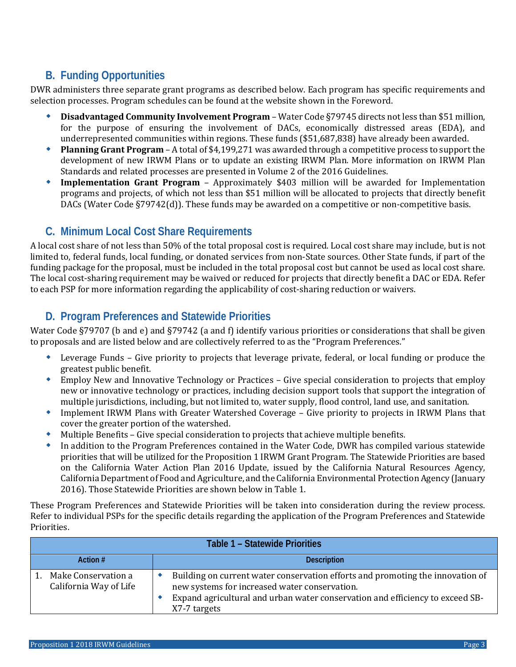## EXHIBIT B

### **B. Funding Opportunities**

DWR administers three separate grant programs as described below. Each program has specific requirements and selection processes. Program schedules can be found at the website shown in the Foreword.

- **Disadvantaged Community Involvement Program** Water Code §79745 directs not less than \$51 million, for the purpose of ensuring the involvement of DACs, economically distressed areas (EDA), and underrepresented communities within regions. These funds (\$51,687,838) have already been awarded.
- **Planning Grant Program** A total of \$4,199,271 was awarded through a competitive process to support the development of new IRWM Plans or to update an existing IRWM Plan. More information on IRWM Plan Standards and related processes are presented in Volume 2 of the 2016 Guidelines.
- **Implementation Grant Program** Approximately \$403 million will be awarded for Implementation programs and projects, of which not less than \$51 million will be allocated to projects that directly benefit DACs (Water Code §79742(d)). These funds may be awarded on a competitive or non-competitive basis.

#### **C. Minimum Local Cost Share Requirements**

A local cost share of not less than 50% of the total proposal cost is required. Local cost share may include, but is not limited to, federal funds, local funding, or donated services from non-State sources. Other State funds, if part of the funding package for the proposal, must be included in the total proposal cost but cannot be used as local cost share. The local cost-sharing requirement may be waived or reduced for projects that directly benefit a DAC or EDA. Refer to each PSP for more information regarding the applicability of cost-sharing reduction or waivers.

#### **D. Program Preferences and Statewide Priorities**

Water Code §79707 (b and e) and §79742 (a and f) identify various priorities or considerations that shall be given to proposals and are listed below and are collectively referred to as the "Program Preferences."

- Leverage Funds Give priority to projects that leverage private, federal, or local funding or produce the greatest public benefit.
- Employ New and Innovative Technology or Practices Give special consideration to projects that employ new or innovative technology or practices, including decision support tools that support the integration of multiple jurisdictions, including, but not limited to, water supply, flood control, land use, and sanitation.
- Implement IRWM Plans with Greater Watershed Coverage Give priority to projects in IRWM Plans that cover the greater portion of the watershed.
- Multiple Benefits Give special consideration to projects that achieve multiple benefits.
- In addition to the Program Preferences contained in the Water Code, DWR has compiled various statewide priorities that will be utilized for the Proposition 1 IRWM Grant Program. The Statewide Priorities are based on the California Water Action Plan 2016 Update, issued by the California Natural Resources Agency, California Department of Food and Agriculture, and the California Environmental Protection Agency (January 2016). Those Statewide Priorities are shown below in Table 1.

These Program Preferences and Statewide Priorities will be taken into consideration during the review process. Refer to individual PSPs for the specific details regarding the application of the Program Preferences and Statewide Priorities.

| Table 1 - Statewide Priorities                |                                                                                                                                                                                                                                  |  |
|-----------------------------------------------|----------------------------------------------------------------------------------------------------------------------------------------------------------------------------------------------------------------------------------|--|
| Action #                                      | <b>Description</b>                                                                                                                                                                                                               |  |
| Make Conservation a<br>California Way of Life | Building on current water conservation efforts and promoting the innovation of<br>new systems for increased water conservation.<br>Expand agricultural and urban water conservation and efficiency to exceed SB-<br>X7-7 targets |  |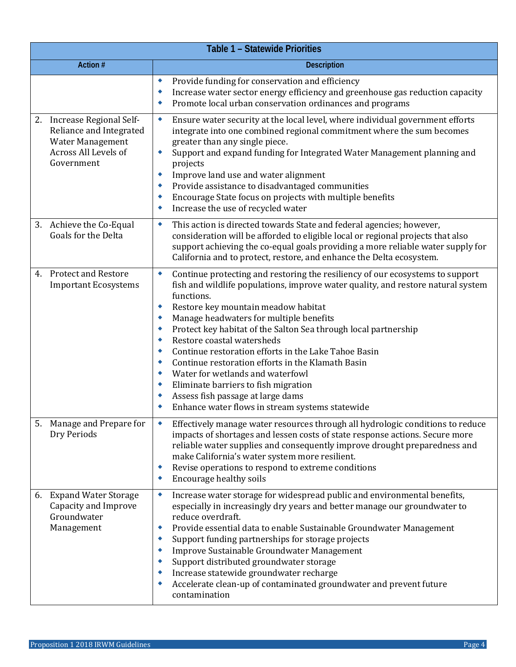| Table 1 - Statewide Priorities                                                                                  |                                                                                                                                                                                                                                                                                                                                                                                                                                                                                                                                                                                                                                                                    |  |
|-----------------------------------------------------------------------------------------------------------------|--------------------------------------------------------------------------------------------------------------------------------------------------------------------------------------------------------------------------------------------------------------------------------------------------------------------------------------------------------------------------------------------------------------------------------------------------------------------------------------------------------------------------------------------------------------------------------------------------------------------------------------------------------------------|--|
| Action #                                                                                                        | <b>Description</b>                                                                                                                                                                                                                                                                                                                                                                                                                                                                                                                                                                                                                                                 |  |
|                                                                                                                 | Provide funding for conservation and efficiency<br>٠<br>Increase water sector energy efficiency and greenhouse gas reduction capacity<br>٠<br>Promote local urban conservation ordinances and programs                                                                                                                                                                                                                                                                                                                                                                                                                                                             |  |
| 2. Increase Regional Self-<br>Reliance and Integrated<br>Water Management<br>Across All Levels of<br>Government | Ensure water security at the local level, where individual government efforts<br>۰<br>integrate into one combined regional commitment where the sum becomes<br>greater than any single piece.<br>Support and expand funding for Integrated Water Management planning and<br>٠<br>projects<br>Improve land use and water alignment<br>٠<br>Provide assistance to disadvantaged communities<br>Encourage State focus on projects with multiple benefits<br>Increase the use of recycled water<br>٠                                                                                                                                                                   |  |
| 3. Achieve the Co-Equal<br>Goals for the Delta                                                                  | This action is directed towards State and federal agencies; however,<br>۰<br>consideration will be afforded to eligible local or regional projects that also<br>support achieving the co-equal goals providing a more reliable water supply for<br>California and to protect, restore, and enhance the Delta ecosystem.                                                                                                                                                                                                                                                                                                                                            |  |
| 4. Protect and Restore<br><b>Important Ecosystems</b>                                                           | Continue protecting and restoring the resiliency of our ecosystems to support<br>٠<br>fish and wildlife populations, improve water quality, and restore natural system<br>functions.<br>Restore key mountain meadow habitat<br>٠<br>Manage headwaters for multiple benefits<br>Protect key habitat of the Salton Sea through local partnership<br>Restore coastal watersheds<br>Continue restoration efforts in the Lake Tahoe Basin<br>Continue restoration efforts in the Klamath Basin<br>Water for wetlands and waterfowl<br>Eliminate barriers to fish migration<br>Assess fish passage at large dams<br>٠<br>Enhance water flows in stream systems statewide |  |
| 5. Manage and Prepare for<br>Dry Periods                                                                        | Effectively manage water resources through all hydrologic conditions to reduce<br>۰<br>impacts of shortages and lessen costs of state response actions. Secure more<br>reliable water supplies and consequently improve drought preparedness and<br>make California's water system more resilient.<br>Revise operations to respond to extreme conditions<br>٠<br>Encourage healthy soils<br>٠                                                                                                                                                                                                                                                                      |  |
| <b>Expand Water Storage</b><br>6.<br>Capacity and Improve<br>Groundwater<br>Management                          | Increase water storage for widespread public and environmental benefits,<br>۰<br>especially in increasingly dry years and better manage our groundwater to<br>reduce overdraft.<br>Provide essential data to enable Sustainable Groundwater Management<br>٠<br>Support funding partnerships for storage projects<br>٠<br>Improve Sustainable Groundwater Management<br>Support distributed groundwater storage<br>Increase statewide groundwater recharge<br>Accelerate clean-up of contaminated groundwater and prevent future<br>contamination                                                                                                                   |  |